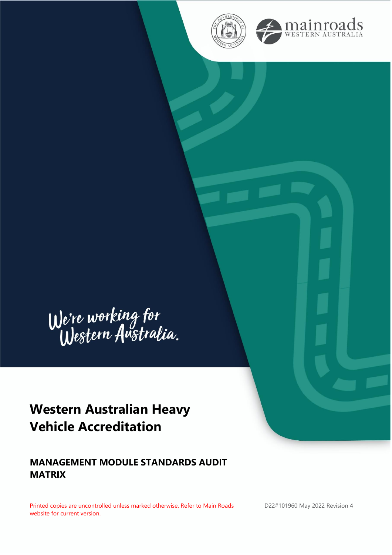

We're working for<br>Western Australia.

# **Western Australian Heavy Vehicle Accreditation**

## **MANAGEMENT MODULE STANDARDS AUDIT MATRIX**

Printed copies are uncontrolled unless marked otherwise. Refer to Main Roads website for current version.

D22#101960 May 2022 Revision 4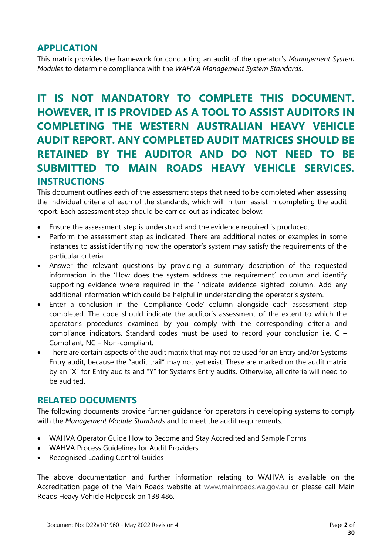## **APPLICATION**

This matrix provides the framework for conducting an audit of the operator's *Management System Modules* to determine compliance with the *WAHVA Management System Standards*.

# **IT IS NOT MANDATORY TO COMPLETE THIS DOCUMENT. HOWEVER, IT IS PROVIDED AS A TOOL TO ASSIST AUDITORS IN COMPLETING THE WESTERN AUSTRALIAN HEAVY VEHICLE AUDIT REPORT. ANY COMPLETED AUDIT MATRICES SHOULD BE RETAINED BY THE AUDITOR AND DO NOT NEED TO BE SUBMITTED TO MAIN ROADS HEAVY VEHICLE SERVICES. INSTRUCTIONS**

This document outlines each of the assessment steps that need to be completed when assessing the individual criteria of each of the standards, which will in turn assist in completing the audit report. Each assessment step should be carried out as indicated below:

- Ensure the assessment step is understood and the evidence required is produced.
- Perform the assessment step as indicated. There are additional notes or examples in some instances to assist identifying how the operator's system may satisfy the requirements of the particular criteria.
- Answer the relevant questions by providing a summary description of the requested information in the 'How does the system address the requirement' column and identify supporting evidence where required in the 'Indicate evidence sighted' column. Add any additional information which could be helpful in understanding the operator's system.
- Enter a conclusion in the 'Compliance Code' column alongside each assessment step completed. The code should indicate the auditor's assessment of the extent to which the operator's procedures examined by you comply with the corresponding criteria and compliance indicators. Standard codes must be used to record your conclusion i.e. C – Compliant, NC – Non-compliant.
- There are certain aspects of the audit matrix that may not be used for an Entry and/or Systems Entry audit, because the "audit trail" may not yet exist. These are marked on the audit matrix by an "X" for Entry audits and "Y" for Systems Entry audits. Otherwise, all criteria will need to be audited.

## **RELATED DOCUMENTS**

The following documents provide further guidance for operators in developing systems to comply with the *Management Module Standards* and to meet the audit requirements.

- WAHVA Operator Guide How to Become and Stay Accredited and Sample Forms
- WAHVA Process Guidelines for Audit Providers
- Recognised Loading Control Guides

The above documentation and further information relating to WAHVA is available on the Accreditation page of the Main Roads website at [www.mainroads.wa.gov.au](http://www.mainroads.wa.gov.au/) or please call Main Roads Heavy Vehicle Helpdesk on 138 486.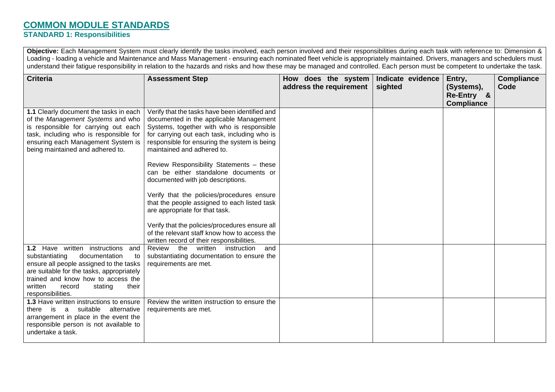## **COMMON MODULE STANDARDS S STANDARD 1: Responsibilities**

Objective: Each Management System must clearly identify the tasks involved, each person involved and their responsibilities during each task with reference to: Dimension & Loading - loading a vehicle and Maintenance and Mass Management - ensuring each nominated fleet vehicle is appropriately maintained. Drivers, managers and schedulers must understand their fatigue responsibility in relation to the hazards and risks and how these may be managed and controlled. Each person must be competent to undertake the task.

| <b>Criteria</b>                                                                                                                                                                                                                                                                                                                                                                                                                                                 | <b>Assessment Step</b>                                                                                                                                                                                                                                                                                                                                                                                                                                                                                                                                                                                                                                                        | How does the system<br>address the requirement | Indicate evidence<br>sighted | Entry,<br>(Systems),<br>Re-Entry &<br><b>Compliance</b> | <b>Compliance</b><br>Code |
|-----------------------------------------------------------------------------------------------------------------------------------------------------------------------------------------------------------------------------------------------------------------------------------------------------------------------------------------------------------------------------------------------------------------------------------------------------------------|-------------------------------------------------------------------------------------------------------------------------------------------------------------------------------------------------------------------------------------------------------------------------------------------------------------------------------------------------------------------------------------------------------------------------------------------------------------------------------------------------------------------------------------------------------------------------------------------------------------------------------------------------------------------------------|------------------------------------------------|------------------------------|---------------------------------------------------------|---------------------------|
| 1.1 Clearly document the tasks in each<br>of the Management Systems and who<br>is responsible for carrying out each<br>task, including who is responsible for<br>ensuring each Management System is<br>being maintained and adhered to.                                                                                                                                                                                                                         | Verify that the tasks have been identified and<br>documented in the applicable Management<br>Systems, together with who is responsible<br>for carrying out each task, including who is<br>responsible for ensuring the system is being<br>maintained and adhered to.<br>Review Responsibility Statements - these<br>can be either standalone documents or<br>documented with job descriptions.<br>Verify that the policies/procedures ensure<br>that the people assigned to each listed task<br>are appropriate for that task.<br>Verify that the policies/procedures ensure all<br>of the relevant staff know how to access the<br>written record of their responsibilities. |                                                |                              |                                                         |                           |
| 1.2 Have written instructions<br>and<br>substantiating<br>documentation<br>to<br>ensure all people assigned to the tasks<br>are suitable for the tasks, appropriately<br>trained and know how to access the<br>written<br>record<br>stating<br>their<br>responsibilities.<br>1.3 Have written instructions to ensure<br>there is a suitable alternative<br>arrangement in place in the event the<br>responsible person is not available to<br>undertake a task. | Review the written instruction<br>and<br>substantiating documentation to ensure the<br>requirements are met.<br>Review the written instruction to ensure the<br>requirements are met.                                                                                                                                                                                                                                                                                                                                                                                                                                                                                         |                                                |                              |                                                         |                           |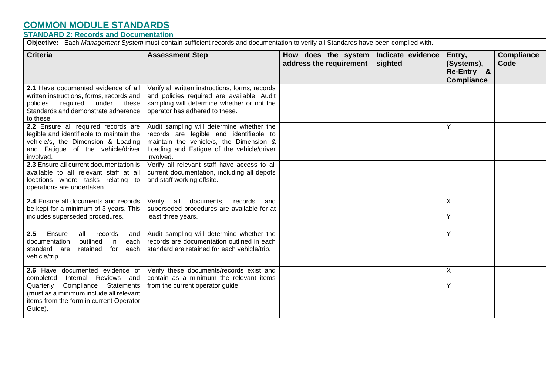### **S STANDARD 2: Records and Documentation**

**Objective:** Each *Management System* must contain sufficient records and documentation to verify all Standards have been complied with.

| <b>Criteria</b>                                                                                                                                                                                                | <b>Assessment Step</b>                                                                                                                                                                    | How does the system<br>address the requirement | Indicate evidence<br>sighted | Entry,<br>(Systems),<br>Re-Entry &<br><b>Compliance</b> | <b>Compliance</b><br>Code |
|----------------------------------------------------------------------------------------------------------------------------------------------------------------------------------------------------------------|-------------------------------------------------------------------------------------------------------------------------------------------------------------------------------------------|------------------------------------------------|------------------------------|---------------------------------------------------------|---------------------------|
| 2.1 Have documented evidence of all<br>written instructions, forms, records and<br>required<br>under these<br>policies<br>Standards and demonstrate adherence<br>to these.                                     | Verify all written instructions, forms, records<br>and policies required are available. Audit<br>sampling will determine whether or not the<br>operator has adhered to these.             |                                                |                              |                                                         |                           |
| 2.2 Ensure all required records are<br>legible and identifiable to maintain the<br>vehicle/s, the Dimension & Loading<br>and Fatigue of the vehicle/driver<br>involved.                                        | Audit sampling will determine whether the<br>records are legible and identifiable to<br>maintain the vehicle/s, the Dimension &<br>Loading and Fatigue of the vehicle/driver<br>involved. |                                                |                              | Y                                                       |                           |
| 2.3 Ensure all current documentation is<br>available to all relevant staff at all<br>locations where tasks relating to<br>operations are undertaken.                                                           | Verify all relevant staff have access to all<br>current documentation, including all depots<br>and staff working offsite.                                                                 |                                                |                              |                                                         |                           |
| 2.4 Ensure all documents and records<br>be kept for a minimum of 3 years. This<br>includes superseded procedures.                                                                                              | records<br>Verify all<br>documents,<br>and<br>superseded procedures are available for at<br>least three years.                                                                            |                                                |                              | X<br>Y                                                  |                           |
| 2.5<br>Ensure<br>records<br>all<br>and<br>outlined<br>documentation<br>in<br>each<br>for<br>standard are<br>retained<br>each<br>vehicle/trip.                                                                  | Audit sampling will determine whether the<br>records are documentation outlined in each<br>standard are retained for each vehicle/trip.                                                   |                                                |                              | Y                                                       |                           |
| 2.6 Have documented evidence of<br>Reviews and<br>completed<br>Internal<br>Quarterly<br>Compliance Statements<br>(must as a minimum include all relevant<br>items from the form in current Operator<br>Guide). | Verify these documents/records exist and<br>contain as a minimum the relevant items<br>from the current operator guide.                                                                   |                                                |                              | Χ<br>Y                                                  |                           |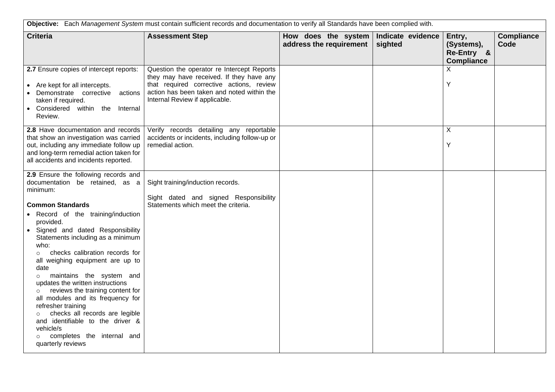|                                                                                                                                                                                                                                                                                                                                                                                                                                                                                                                                                                                  | Objective: Each Management System must contain sufficient records and documentation to verify all Standards have been complied with.                                                                               |                                                |                              |                                                         |                           |
|----------------------------------------------------------------------------------------------------------------------------------------------------------------------------------------------------------------------------------------------------------------------------------------------------------------------------------------------------------------------------------------------------------------------------------------------------------------------------------------------------------------------------------------------------------------------------------|--------------------------------------------------------------------------------------------------------------------------------------------------------------------------------------------------------------------|------------------------------------------------|------------------------------|---------------------------------------------------------|---------------------------|
| <b>Criteria</b>                                                                                                                                                                                                                                                                                                                                                                                                                                                                                                                                                                  | <b>Assessment Step</b>                                                                                                                                                                                             | How does the system<br>address the requirement | Indicate evidence<br>sighted | Entry,<br>(Systems),<br>Re-Entry &<br><b>Compliance</b> | <b>Compliance</b><br>Code |
| 2.7 Ensure copies of intercept reports:<br>• Are kept for all intercepts.<br>Demonstrate corrective<br>actions<br>taken if required.<br>Considered within the Internal<br>Review.                                                                                                                                                                                                                                                                                                                                                                                                | Question the operator re Intercept Reports<br>they may have received. If they have any<br>that required corrective actions, review<br>action has been taken and noted within the<br>Internal Review if applicable. |                                                |                              | X.<br>Υ                                                 |                           |
| 2.8 Have documentation and records<br>that show an investigation was carried<br>out, including any immediate follow up<br>and long-term remedial action taken for<br>all accidents and incidents reported.                                                                                                                                                                                                                                                                                                                                                                       | Verify records detailing any reportable<br>accidents or incidents, including follow-up or<br>remedial action.                                                                                                      |                                                |                              | X<br>Y                                                  |                           |
| 2.9 Ensure the following records and<br>documentation be retained, as a<br>minimum:                                                                                                                                                                                                                                                                                                                                                                                                                                                                                              | Sight training/induction records.<br>Sight dated and signed Responsibility                                                                                                                                         |                                                |                              |                                                         |                           |
| <b>Common Standards</b><br>• Record of the training/induction<br>provided.<br>• Signed and dated Responsibility<br>Statements including as a minimum<br>who:<br>checks calibration records for<br>$\circ$<br>all weighing equipment are up to<br>date<br>maintains the system and<br>$\circ$<br>updates the written instructions<br>reviews the training content for<br>all modules and its frequency for<br>refresher training<br>checks all records are legible<br>and identifiable to the driver &<br>vehicle/s<br>completes the internal and<br>$\circ$<br>quarterly reviews | Statements which meet the criteria.                                                                                                                                                                                |                                                |                              |                                                         |                           |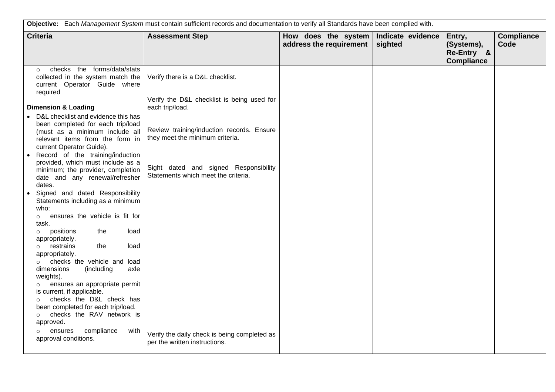| Objective: Each Management System must contain sufficient records and documentation to verify all Standards have been complied with.                                                                                                                                                                                                                                                                                                                                                                                                                                 |                                                                                                                                                              |                                                                    |         |                                                         |                           |
|----------------------------------------------------------------------------------------------------------------------------------------------------------------------------------------------------------------------------------------------------------------------------------------------------------------------------------------------------------------------------------------------------------------------------------------------------------------------------------------------------------------------------------------------------------------------|--------------------------------------------------------------------------------------------------------------------------------------------------------------|--------------------------------------------------------------------|---------|---------------------------------------------------------|---------------------------|
| <b>Criteria</b>                                                                                                                                                                                                                                                                                                                                                                                                                                                                                                                                                      | <b>Assessment Step</b>                                                                                                                                       | How does the system   Indicate evidence<br>address the requirement | sighted | Entry,<br>(Systems),<br>Re-Entry &<br><b>Compliance</b> | <b>Compliance</b><br>Code |
| checks the forms/data/stats<br>$\circ$<br>collected in the system match the<br>current Operator Guide where<br>required                                                                                                                                                                                                                                                                                                                                                                                                                                              | Verify there is a D&L checklist.<br>Verify the D&L checklist is being used for                                                                               |                                                                    |         |                                                         |                           |
| <b>Dimension &amp; Loading</b>                                                                                                                                                                                                                                                                                                                                                                                                                                                                                                                                       | each trip/load.                                                                                                                                              |                                                                    |         |                                                         |                           |
| D&L checklist and evidence this has<br>been completed for each trip/load<br>(must as a minimum include all<br>relevant items from the form in<br>current Operator Guide).<br>Record of the training/induction<br>provided, which must include as a<br>minimum; the provider, completion<br>date and any renewal/refresher<br>dates.<br>Signed and dated Responsibility                                                                                                                                                                                               | Review training/induction records. Ensure<br>they meet the minimum criteria.<br>Sight dated and signed Responsibility<br>Statements which meet the criteria. |                                                                    |         |                                                         |                           |
| Statements including as a minimum<br>who:<br>ensures the vehicle is fit for<br>$\circ$<br>task.<br>load<br>positions<br>the<br>$\circ$<br>appropriately.<br>restrains<br>the<br>load<br>$\circ$<br>appropriately.<br>checks the vehicle and load<br>$\circ$<br>dimensions<br>(including<br>axle<br>weights).<br>ensures an appropriate permit<br>$\circ$<br>is current, if applicable.<br>checks the D&L check has<br>$\circ$<br>been completed for each trip/load.<br>checks the RAV network is<br>$\circ$<br>approved.<br>compliance<br>with<br>ensures<br>$\circ$ | Verify the daily check is being completed as                                                                                                                 |                                                                    |         |                                                         |                           |
| approval conditions.                                                                                                                                                                                                                                                                                                                                                                                                                                                                                                                                                 | per the written instructions.                                                                                                                                |                                                                    |         |                                                         |                           |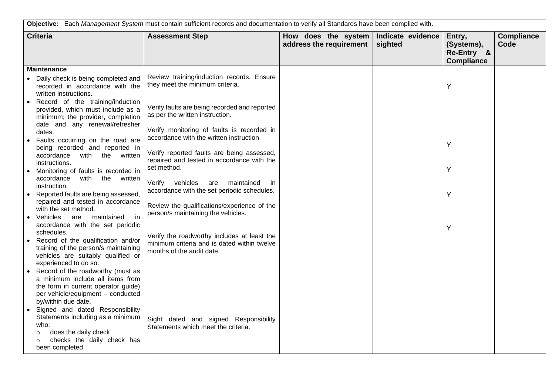|           | Objective: Each Management System must contain sufficient records and documentation to verify all Standards have been complied with.                                       |                                                                                                                                     |                                                                    |         |                                                         |                                  |  |
|-----------|----------------------------------------------------------------------------------------------------------------------------------------------------------------------------|-------------------------------------------------------------------------------------------------------------------------------------|--------------------------------------------------------------------|---------|---------------------------------------------------------|----------------------------------|--|
|           | <b>Criteria</b>                                                                                                                                                            | <b>Assessment Step</b>                                                                                                              | How does the system   Indicate evidence<br>address the requirement | sighted | Entry,<br>(Systems),<br>Re-Entry &<br><b>Compliance</b> | <b>Compliance</b><br><b>Code</b> |  |
|           | <b>Maintenance</b>                                                                                                                                                         |                                                                                                                                     |                                                                    |         |                                                         |                                  |  |
|           | Daily check is being completed and<br>recorded in accordance with the<br>written instructions.<br>Record of the training/induction                                         | Review training/induction records. Ensure<br>they meet the minimum criteria.                                                        |                                                                    |         | Y                                                       |                                  |  |
|           | provided, which must include as a<br>minimum; the provider, completion<br>date and any renewal/refresher                                                                   | Verify faults are being recorded and reported<br>as per the written instruction.                                                    |                                                                    |         |                                                         |                                  |  |
|           | dates.<br>Faults occurring on the road are<br>being recorded and reported in<br>with the written                                                                           | Verify monitoring of faults is recorded in<br>accordance with the written instruction<br>Verify reported faults are being assessed, |                                                                    |         | Υ                                                       |                                  |  |
|           | accordance<br>instructions.<br>Monitoring of faults is recorded in<br>with the written<br>accordance                                                                       | repaired and tested in accordance with the<br>set method.                                                                           |                                                                    |         | Υ                                                       |                                  |  |
|           | instruction.<br>Reported faults are being assessed,<br>repaired and tested in accordance                                                                                   | Verify vehicles<br>are<br>maintained<br>-in<br>accordance with the set periodic schedules.                                          |                                                                    |         | Υ                                                       |                                  |  |
|           | with the set method.<br>Vehicles<br>maintained<br>are<br>-in<br>accordance with the set periodic                                                                           | Review the qualifications/experience of the<br>person/s maintaining the vehicles.                                                   |                                                                    |         | Υ                                                       |                                  |  |
| $\bullet$ | schedules.<br>Record of the qualification and/or<br>training of the person/s maintaining<br>vehicles are suitably qualified or<br>experienced to do so.                    | Verify the roadworthy includes at least the<br>minimum criteria and is dated within twelve<br>months of the audit date.             |                                                                    |         |                                                         |                                  |  |
|           | Record of the roadworthy (must as<br>a minimum include all items from<br>the form in current operator guide)<br>per vehicle/equipment - conducted<br>by/within due date.   |                                                                                                                                     |                                                                    |         |                                                         |                                  |  |
|           | Signed and dated Responsibility<br>Statements including as a minimum<br>who:<br>does the daily check<br>$\circ$<br>checks the daily check has<br>$\circ$<br>been completed | Sight dated and signed Responsibility<br>Statements which meet the criteria.                                                        |                                                                    |         |                                                         |                                  |  |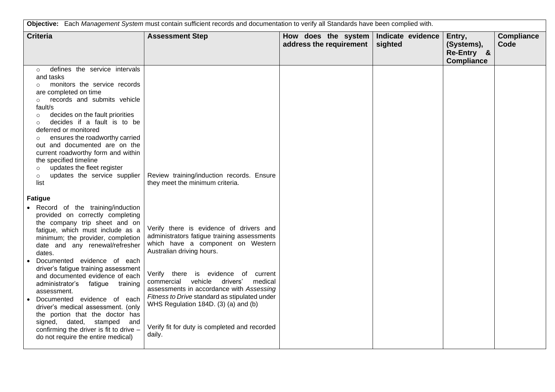| Objective: Each Management System must contain sufficient records and documentation to verify all Standards have been complied with.                                                                                                                                                                                                                                                                                                                                                                                           |                                                                                                                                                                                                                       |                                                                    |         |                                                         |                           |
|--------------------------------------------------------------------------------------------------------------------------------------------------------------------------------------------------------------------------------------------------------------------------------------------------------------------------------------------------------------------------------------------------------------------------------------------------------------------------------------------------------------------------------|-----------------------------------------------------------------------------------------------------------------------------------------------------------------------------------------------------------------------|--------------------------------------------------------------------|---------|---------------------------------------------------------|---------------------------|
| <b>Criteria</b>                                                                                                                                                                                                                                                                                                                                                                                                                                                                                                                | <b>Assessment Step</b>                                                                                                                                                                                                | How does the system   Indicate evidence<br>address the requirement | sighted | Entry,<br>(Systems),<br>Re-Entry &<br><b>Compliance</b> | <b>Compliance</b><br>Code |
| defines the service intervals<br>$\circ$<br>and tasks<br>monitors the service records<br>$\circ$<br>are completed on time<br>records and submits vehicle<br>$\circ$<br>fault/s<br>decides on the fault priorities<br>$\circ$<br>decides if a fault is to be<br>$\circ$<br>deferred or monitored<br>ensures the roadworthy carried<br>out and documented are on the<br>current roadworthy form and within<br>the specified timeline<br>updates the fleet register<br>$\circ$<br>updates the service supplier<br>$\circ$<br>list | Review training/induction records. Ensure<br>they meet the minimum criteria.                                                                                                                                          |                                                                    |         |                                                         |                           |
| <b>Fatigue</b>                                                                                                                                                                                                                                                                                                                                                                                                                                                                                                                 |                                                                                                                                                                                                                       |                                                                    |         |                                                         |                           |
| • Record of the training/induction<br>provided on correctly completing<br>the company trip sheet and on<br>fatigue, which must include as a<br>minimum; the provider, completion<br>date and any renewal/refresher<br>dates.                                                                                                                                                                                                                                                                                                   | Verify there is evidence of drivers and<br>administrators fatigue training assessments<br>which have a component on Western<br>Australian driving hours.                                                              |                                                                    |         |                                                         |                           |
| Documented evidence of each<br>driver's fatigue training assessment<br>and documented evidence of each<br>administrator's fatigue training<br>assessment.<br>Documented evidence of each<br>driver's medical assessment. (only<br>the portion that the doctor has                                                                                                                                                                                                                                                              | Verify there is evidence of current<br>commercial vehicle<br>drivers'<br>medical<br>assessments in accordance with Assessing<br>Fitness to Drive standard as stipulated under<br>WHS Regulation 184D. (3) (a) and (b) |                                                                    |         |                                                         |                           |
| signed, dated, stamped and<br>confirming the driver is fit to drive -<br>do not require the entire medical)                                                                                                                                                                                                                                                                                                                                                                                                                    | Verify fit for duty is completed and recorded<br>daily.                                                                                                                                                               |                                                                    |         |                                                         |                           |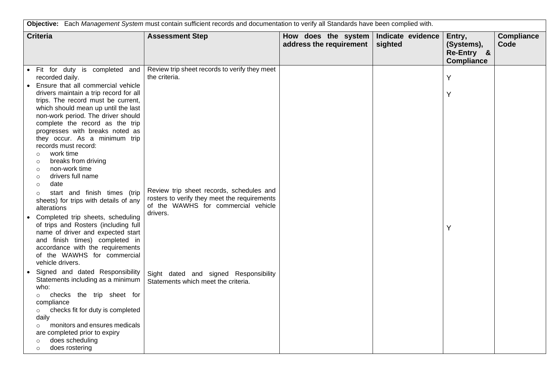|           | Objective: Each Management System must contain sufficient records and documentation to verify all Standards have been complied with.                                                                                                                                                                                                                                                                                                                          |                                                                                                                                             |                                                                    |         |                                                         |                                  |
|-----------|---------------------------------------------------------------------------------------------------------------------------------------------------------------------------------------------------------------------------------------------------------------------------------------------------------------------------------------------------------------------------------------------------------------------------------------------------------------|---------------------------------------------------------------------------------------------------------------------------------------------|--------------------------------------------------------------------|---------|---------------------------------------------------------|----------------------------------|
|           | <b>Criteria</b>                                                                                                                                                                                                                                                                                                                                                                                                                                               | <b>Assessment Step</b>                                                                                                                      | How does the system   Indicate evidence<br>address the requirement | sighted | Entry,<br>(Systems),<br>Re-Entry &<br><b>Compliance</b> | <b>Compliance</b><br><b>Code</b> |
| $\bullet$ | Fit for duty is completed and<br>recorded daily.<br>Ensure that all commercial vehicle<br>drivers maintain a trip record for all<br>trips. The record must be current,<br>which should mean up until the last<br>non-work period. The driver should<br>complete the record as the trip<br>progresses with breaks noted as<br>they occur. As a minimum trip<br>records must record:<br>work time<br>$\circ$<br>breaks from driving<br>$\circ$<br>non-work time | Review trip sheet records to verify they meet<br>the criteria.                                                                              |                                                                    |         | Y<br>Y                                                  |                                  |
| $\bullet$ | $\circ$<br>drivers full name<br>$\circ$<br>date<br>$\circ$<br>start and finish times (trip<br>$\circ$<br>sheets) for trips with details of any<br>alterations<br>Completed trip sheets, scheduling<br>of trips and Rosters (including full<br>name of driver and expected start<br>and finish times) completed in<br>accordance with the requirements<br>of the WAWHS for commercial<br>vehicle drivers.                                                      | Review trip sheet records, schedules and<br>rosters to verify they meet the requirements<br>of the WAWHS for commercial vehicle<br>drivers. |                                                                    |         | Y                                                       |                                  |
|           | Signed and dated Responsibility<br>Statements including as a minimum<br>who:<br>o checks the trip sheet for<br>compliance<br>checks fit for duty is completed<br>$\circ$<br>daily<br>monitors and ensures medicals<br>$\circ$<br>are completed prior to expiry<br>does scheduling<br>$\circ$<br>does rostering<br>$\circ$                                                                                                                                     | Sight dated and signed Responsibility<br>Statements which meet the criteria.                                                                |                                                                    |         |                                                         |                                  |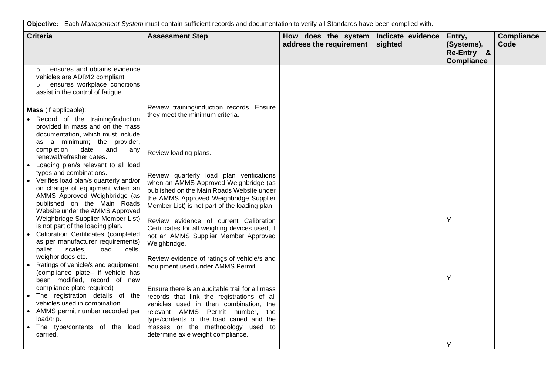|                                                                                                                                                                                                                                                                          | Objective: Each Management System must contain sufficient records and documentation to verify all Standards have been complied with.                                                                                                           |                                                |                              |                                                         |                           |  |  |
|--------------------------------------------------------------------------------------------------------------------------------------------------------------------------------------------------------------------------------------------------------------------------|------------------------------------------------------------------------------------------------------------------------------------------------------------------------------------------------------------------------------------------------|------------------------------------------------|------------------------------|---------------------------------------------------------|---------------------------|--|--|
| <b>Criteria</b>                                                                                                                                                                                                                                                          | <b>Assessment Step</b>                                                                                                                                                                                                                         | How does the system<br>address the requirement | Indicate evidence<br>sighted | Entry,<br>(Systems),<br>Re-Entry &<br><b>Compliance</b> | <b>Compliance</b><br>Code |  |  |
| ensures and obtains evidence<br>vehicles are ADR42 compliant<br>ensures workplace conditions<br>$\circ$<br>assist in the control of fatigue                                                                                                                              |                                                                                                                                                                                                                                                |                                                |                              |                                                         |                           |  |  |
| <b>Mass</b> (if applicable):<br>• Record of the training/induction<br>provided in mass and on the mass<br>documentation, which must include<br>as a minimum; the provider,<br>completion<br>date<br>and<br>any                                                           | Review training/induction records. Ensure<br>they meet the minimum criteria.<br>Review loading plans.                                                                                                                                          |                                                |                              |                                                         |                           |  |  |
| renewal/refresher dates.<br>Loading plan/s relevant to all load<br>types and combinations.<br>Verifies load plan/s quarterly and/or<br>on change of equipment when an<br>AMMS Approved Weighbridge (as<br>published on the Main Roads<br>Website under the AMMS Approved | Review quarterly load plan verifications<br>when an AMMS Approved Weighbridge (as<br>published on the Main Roads Website under<br>the AMMS Approved Weighbridge Supplier<br>Member List) is not part of the loading plan.                      |                                                |                              |                                                         |                           |  |  |
| Weighbridge Supplier Member List)<br>is not part of the loading plan.<br>Calibration Certificates (completed<br>as per manufacturer requirements)<br>pallet<br>scales,<br>load<br>cells.<br>weighbridges etc.                                                            | Review evidence of current Calibration<br>Certificates for all weighing devices used, if<br>not an AMMS Supplier Member Approved<br>Weighbridge.<br>Review evidence of ratings of vehicle/s and                                                |                                                |                              | Y                                                       |                           |  |  |
| Ratings of vehicle/s and equipment.<br>(compliance plate- if vehicle has<br>been modified, record of new<br>compliance plate required)                                                                                                                                   | equipment used under AMMS Permit.<br>Ensure there is an auditable trail for all mass                                                                                                                                                           |                                                |                              | Y                                                       |                           |  |  |
| The registration details of the<br>vehicles used in combination.<br>• AMMS permit number recorded per<br>load/trip.<br>The type/contents of the load<br>carried.                                                                                                         | records that link the registrations of all<br>vehicles used in then combination, the<br>relevant AMMS Permit number, the<br>type/contents of the load caried and the<br>masses or the methodology used to<br>determine axle weight compliance. |                                                |                              |                                                         |                           |  |  |
|                                                                                                                                                                                                                                                                          |                                                                                                                                                                                                                                                |                                                |                              | Y                                                       |                           |  |  |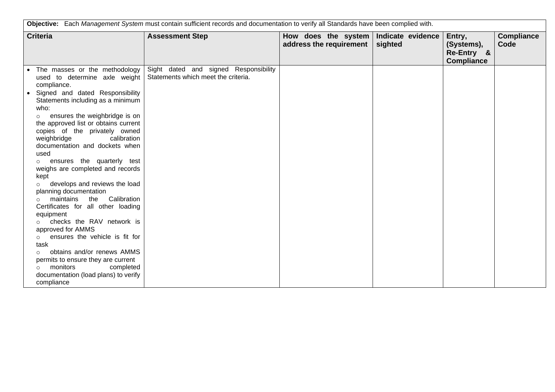| Objective: Each Management System must contain sufficient records and documentation to verify all Standards have been complied with.                                                                                                                                                                                                                                                                                                                                                                                                                                                                                                                                                                                                                                                                                                                                                                        |                                                                              |                                                |                              |                                                         |                           |  |
|-------------------------------------------------------------------------------------------------------------------------------------------------------------------------------------------------------------------------------------------------------------------------------------------------------------------------------------------------------------------------------------------------------------------------------------------------------------------------------------------------------------------------------------------------------------------------------------------------------------------------------------------------------------------------------------------------------------------------------------------------------------------------------------------------------------------------------------------------------------------------------------------------------------|------------------------------------------------------------------------------|------------------------------------------------|------------------------------|---------------------------------------------------------|---------------------------|--|
| <b>Criteria</b>                                                                                                                                                                                                                                                                                                                                                                                                                                                                                                                                                                                                                                                                                                                                                                                                                                                                                             | <b>Assessment Step</b>                                                       | How does the system<br>address the requirement | Indicate evidence<br>sighted | Entry,<br>(Systems),<br>Re-Entry &<br><b>Compliance</b> | <b>Compliance</b><br>Code |  |
| The masses or the methodology<br>used to determine axle weight<br>compliance.<br>Signed and dated Responsibility<br>Statements including as a minimum<br>who:<br>ensures the weighbridge is on<br>$\circ$<br>the approved list or obtains current<br>copies of the privately owned<br>weighbridge<br>calibration<br>documentation and dockets when<br>used<br>ensures the quarterly test<br>$\circ$<br>weighs are completed and records<br>kept<br>develops and reviews the load<br>$\circ$<br>planning documentation<br>maintains<br>the<br>Calibration<br>O<br>Certificates for all other loading<br>equipment<br>checks the RAV network is<br>$\circ$<br>approved for AMMS<br>ensures the vehicle is fit for<br>$\circ$<br>task<br>obtains and/or renews AMMS<br>$\circ$<br>permits to ensure they are current<br>monitors<br>completed<br>$\circ$<br>documentation (load plans) to verify<br>compliance | Sight dated and signed Responsibility<br>Statements which meet the criteria. |                                                |                              |                                                         |                           |  |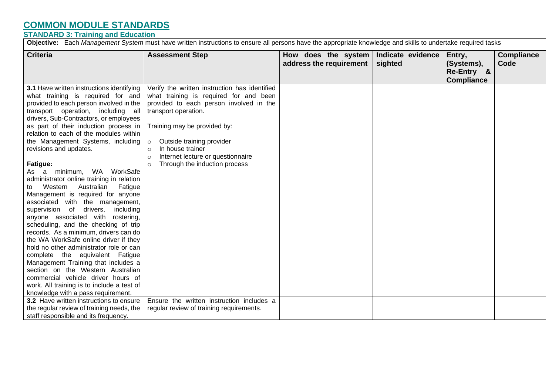### **S STANDARD 3: Training and Education**

**Objective:** Each *Management System* must have written instructions to ensure all persons have the appropriate knowledge and skills to undertake required tasks

| <b>Criteria</b>                                                                                                                                                                                                                                                                                                                                                                                                                                                                                                                                                                                                                                                                                                                                                                                                                                                                                                                                                                                                                                                          | <b>Assessment Step</b>                                                                                                                                                                                                                                                                                                                                        | How does the system     | Indicate evidence | Entry,                                        | <b>Compliance</b> |
|--------------------------------------------------------------------------------------------------------------------------------------------------------------------------------------------------------------------------------------------------------------------------------------------------------------------------------------------------------------------------------------------------------------------------------------------------------------------------------------------------------------------------------------------------------------------------------------------------------------------------------------------------------------------------------------------------------------------------------------------------------------------------------------------------------------------------------------------------------------------------------------------------------------------------------------------------------------------------------------------------------------------------------------------------------------------------|---------------------------------------------------------------------------------------------------------------------------------------------------------------------------------------------------------------------------------------------------------------------------------------------------------------------------------------------------------------|-------------------------|-------------------|-----------------------------------------------|-------------------|
|                                                                                                                                                                                                                                                                                                                                                                                                                                                                                                                                                                                                                                                                                                                                                                                                                                                                                                                                                                                                                                                                          |                                                                                                                                                                                                                                                                                                                                                               | address the requirement | sighted           | (Systems),<br>Re-Entry &<br><b>Compliance</b> | Code              |
| 3.1 Have written instructions identifying<br>what training is required for and<br>provided to each person involved in the<br>transport operation, including all<br>drivers, Sub-Contractors, or employees<br>as part of their induction process in<br>relation to each of the modules within<br>the Management Systems, including<br>revisions and updates.<br><b>Fatigue:</b><br>As a minimum, WA WorkSafe<br>administrator online training in relation<br>Western<br>Australian<br>Fatigue<br>to<br>Management is required for anyone<br>associated with the management,<br>supervision of<br>drivers,<br>including<br>anyone associated with rostering,<br>scheduling, and the checking of trip<br>records. As a minimum, drivers can do<br>the WA WorkSafe online driver if they<br>hold no other administrator role or can<br>complete the equivalent Fatigue<br>Management Training that includes a<br>section on the Western Australian<br>commercial vehicle driver hours of<br>work. All training is to include a test of<br>knowledge with a pass requirement. | Verify the written instruction has identified<br>what training is required for and been<br>provided to each person involved in the<br>transport operation.<br>Training may be provided by:<br>Outside training provider<br>$\circ$<br>In house trainer<br>$\circ$<br>Internet lecture or questionnaire<br>$\circ$<br>Through the induction process<br>$\circ$ |                         |                   |                                               |                   |
| 3.2 Have written instructions to ensure<br>the regular review of training needs, the<br>staff responsible and its frequency.                                                                                                                                                                                                                                                                                                                                                                                                                                                                                                                                                                                                                                                                                                                                                                                                                                                                                                                                             | Ensure the written instruction includes a<br>regular review of training requirements.                                                                                                                                                                                                                                                                         |                         |                   |                                               |                   |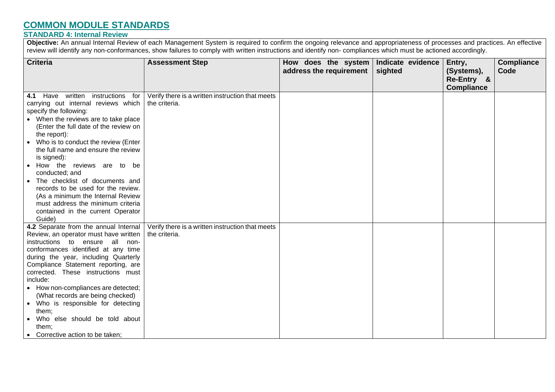## **S STANDARD 4: Internal Review**

**Objective:** An annual Internal Review of each Management System is required to confirm the ongoing relevance and appropriateness of processes and practices. An effective review will identify any non-conformances, show failures to comply with written instructions and identify non-compliances which must be actioned accordingly.

| <b>Criteria</b>                                                        | <b>Assessment Step</b>                           | How does the system     | Indicate evidence | Entry,                   | <b>Compliance</b> |
|------------------------------------------------------------------------|--------------------------------------------------|-------------------------|-------------------|--------------------------|-------------------|
|                                                                        |                                                  | address the requirement | sighted           | (Systems),<br>Re-Entry & | Code              |
|                                                                        |                                                  |                         |                   | <b>Compliance</b>        |                   |
| Have written<br>instructions for<br>4.1                                | Verify there is a written instruction that meets |                         |                   |                          |                   |
| carrying out internal reviews which                                    | the criteria.                                    |                         |                   |                          |                   |
| specify the following:                                                 |                                                  |                         |                   |                          |                   |
| • When the reviews are to take place                                   |                                                  |                         |                   |                          |                   |
| (Enter the full date of the review on                                  |                                                  |                         |                   |                          |                   |
| the report):                                                           |                                                  |                         |                   |                          |                   |
| Who is to conduct the review (Enter<br>$\bullet$                       |                                                  |                         |                   |                          |                   |
| the full name and ensure the review                                    |                                                  |                         |                   |                          |                   |
| is signed):                                                            |                                                  |                         |                   |                          |                   |
| How the reviews are to be<br>conducted; and                            |                                                  |                         |                   |                          |                   |
| The checklist of documents and                                         |                                                  |                         |                   |                          |                   |
| records to be used for the review.                                     |                                                  |                         |                   |                          |                   |
| (As a minimum the Internal Review                                      |                                                  |                         |                   |                          |                   |
| must address the minimum criteria                                      |                                                  |                         |                   |                          |                   |
| contained in the current Operator                                      |                                                  |                         |                   |                          |                   |
| Guide)                                                                 |                                                  |                         |                   |                          |                   |
| 4.2 Separate from the annual Internal                                  | Verify there is a written instruction that meets |                         |                   |                          |                   |
| Review, an operator must have written                                  | the criteria.                                    |                         |                   |                          |                   |
| instructions to ensure all non-<br>conformances identified at any time |                                                  |                         |                   |                          |                   |
| during the year, including Quarterly                                   |                                                  |                         |                   |                          |                   |
| Compliance Statement reporting, are                                    |                                                  |                         |                   |                          |                   |
| corrected. These instructions must                                     |                                                  |                         |                   |                          |                   |
| include:                                                               |                                                  |                         |                   |                          |                   |
| • How non-compliances are detected;                                    |                                                  |                         |                   |                          |                   |
| (What records are being checked)                                       |                                                  |                         |                   |                          |                   |
| • Who is responsible for detecting                                     |                                                  |                         |                   |                          |                   |
| them;                                                                  |                                                  |                         |                   |                          |                   |
| Who else should be told about                                          |                                                  |                         |                   |                          |                   |
| them;                                                                  |                                                  |                         |                   |                          |                   |
| • Corrective action to be taken;                                       |                                                  |                         |                   |                          |                   |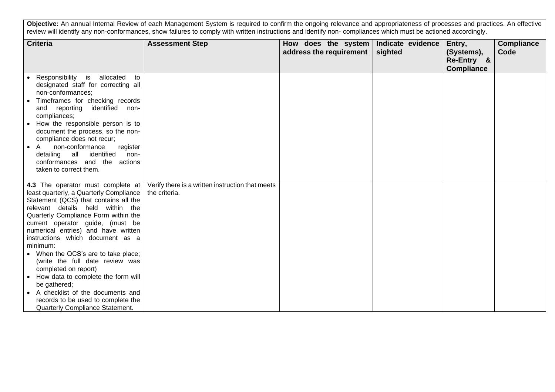**Objective:** An annual Internal Review of each Management System is required to confirm the ongoing relevance and appropriateness of processes and practices. An effective review will identify any non-conformances, show failures to comply with written instructions and identify non- compliances which must be actioned accordingly.

| <b>Criteria</b>                                                                                                                                                                                                                                                                                                                                                                                                                           | <b>Assessment Step</b>                           | How does the system<br>address the requirement | Indicate evidence<br>sighted | Entry,<br>(Systems),<br>Re-Entry &<br><b>Compliance</b> | <b>Compliance</b><br>Code |
|-------------------------------------------------------------------------------------------------------------------------------------------------------------------------------------------------------------------------------------------------------------------------------------------------------------------------------------------------------------------------------------------------------------------------------------------|--------------------------------------------------|------------------------------------------------|------------------------------|---------------------------------------------------------|---------------------------|
| Responsibility is allocated<br>to<br>designated staff for correcting all<br>non-conformances;<br>Timeframes for checking records<br>$\bullet$<br>and reporting<br>identified<br>non-<br>compliances;<br>How the responsible person is to<br>document the process, so the non-<br>compliance does not recur;<br>non-conformance<br>A<br>register<br>$\bullet$<br>identified<br>detailing<br>all<br>non-<br>conformances and the<br>actions |                                                  |                                                |                              |                                                         |                           |
| taken to correct them.<br>4.3 The operator must complete at                                                                                                                                                                                                                                                                                                                                                                               | Verify there is a written instruction that meets |                                                |                              |                                                         |                           |
| least quarterly, a Quarterly Compliance<br>Statement (QCS) that contains all the<br>relevant details held within the<br>Quarterly Compliance Form within the<br>current operator guide, (must be<br>numerical entries) and have written<br>instructions which document as a<br>minimum:                                                                                                                                                   | the criteria.                                    |                                                |                              |                                                         |                           |
| • When the QCS's are to take place;<br>(write the full date review was<br>completed on report)<br>How data to complete the form will<br>be gathered;<br>A checklist of the documents and<br>records to be used to complete the<br>Quarterly Compliance Statement.                                                                                                                                                                         |                                                  |                                                |                              |                                                         |                           |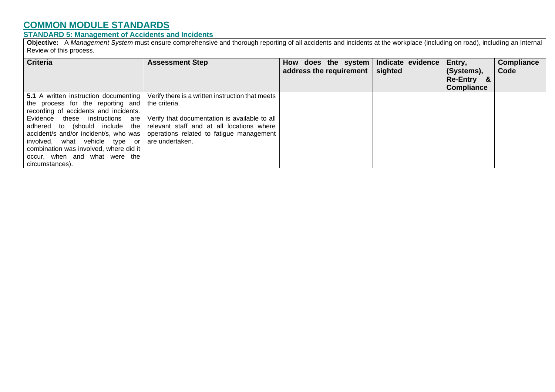## **STANDARD 5: Management of Accidents and Incidents**

**Objective:** A *Management System* must ensure comprehensive and thorough reporting of all accidents and incidents at the workplace (including on road), including an Internal Review of this process.

| <b>Criteria</b>                                                                                                                                                                                                                                                                                          | <b>Assessment Step</b>                                                                                                                                                                                                                                                             | How does the system   Indicate evidence   Entry,<br>address the requirement $\parallel$ | sighted | (Systems),<br><b>Re-Entry</b><br>_&<br><b>Compliance</b> | <b>Compliance</b><br>Code |
|----------------------------------------------------------------------------------------------------------------------------------------------------------------------------------------------------------------------------------------------------------------------------------------------------------|------------------------------------------------------------------------------------------------------------------------------------------------------------------------------------------------------------------------------------------------------------------------------------|-----------------------------------------------------------------------------------------|---------|----------------------------------------------------------|---------------------------|
| 5.1 A written instruction documenting  <br>the process for the reporting and<br>recording of accidents and incidents.<br>Evidence these instructions are<br>involved, what vehicle type or are undertaken.<br>combination was involved, where did it<br>occur, when and what were the<br>circumstances). | Verify there is a written instruction that meets<br>the criteria.<br>Verify that documentation is available to all<br>adhered to (should include the relevant staff and at all locations where<br>accident/s and/or incident/s, who was   operations related to fatigue management |                                                                                         |         |                                                          |                           |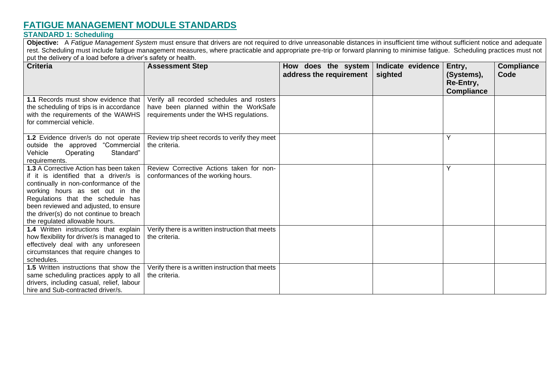## **S STANDARD 1: Scheduling**

**Objective:** A Fatigue Management System must ensure that drivers are not required to drive unreasonable distances in insufficient time without sufficient notice and adequate rest. Scheduling must include fatigue management measures, where practicable and appropriate pre-trip or forward planning to minimise fatigue. Scheduling practices must not put the delivery of a load before a driver's safety or health.

| <b>Criteria</b>                                                                                                                                                                                                                                                                                                                | <b>Assessment Step</b>                                                                                                        | How does the system<br>address the requirement | Indicate evidence<br>sighted | Entry,<br>(Systems),<br>Re-Entry,<br><b>Compliance</b> | <b>Compliance</b><br>Code |
|--------------------------------------------------------------------------------------------------------------------------------------------------------------------------------------------------------------------------------------------------------------------------------------------------------------------------------|-------------------------------------------------------------------------------------------------------------------------------|------------------------------------------------|------------------------------|--------------------------------------------------------|---------------------------|
| 1.1 Records must show evidence that<br>the scheduling of trips is in accordance<br>with the requirements of the WAWHS<br>for commercial vehicle.                                                                                                                                                                               | Verify all recorded schedules and rosters<br>have been planned within the WorkSafe<br>requirements under the WHS regulations. |                                                |                              |                                                        |                           |
| 1.2 Evidence driver/s do not operate<br>outside the approved "Commercial<br>Vehicle<br>Operating<br>Standard"<br>requirements.                                                                                                                                                                                                 | Review trip sheet records to verify they meet<br>the criteria.                                                                |                                                |                              | Y                                                      |                           |
| <b>1.3</b> A Corrective Action has been taken<br>if it is identified that a driver/s is<br>continually in non-conformance of the<br>working hours as set out in the<br>Regulations that the schedule has<br>been reviewed and adjusted, to ensure<br>the driver(s) do not continue to breach<br>the regulated allowable hours. | Review Corrective Actions taken for non-<br>conformances of the working hours.                                                |                                                |                              | ٧                                                      |                           |
| 1.4 Written instructions that explain<br>how flexibility for driver/s is managed to<br>effectively deal with any unforeseen<br>circumstances that require changes to<br>schedules.                                                                                                                                             | Verify there is a written instruction that meets<br>the criteria.                                                             |                                                |                              |                                                        |                           |
| 1.5 Written instructions that show the<br>same scheduling practices apply to all<br>drivers, including casual, relief, labour<br>hire and Sub-contracted driver/s.                                                                                                                                                             | Verify there is a written instruction that meets<br>the criteria.                                                             |                                                |                              |                                                        |                           |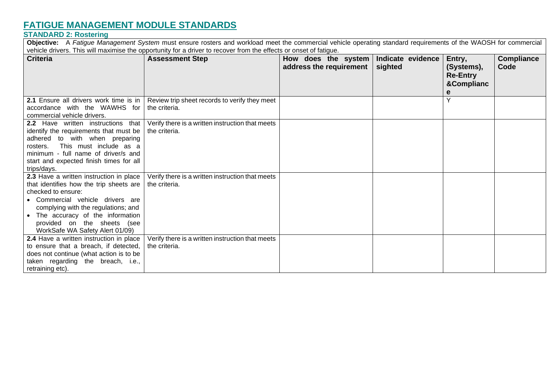## **S STANDARD 2: Rostering**

**Objective:** A *Fatigue Management System* must ensure rosters and workload meet the commercial vehicle operating standard requirements of the WAOSH for commercial vehicle drivers. This will maximise the opportunity for a driver to recover from the effects or onset of fatigue.

| <b>Criteria</b>                                                                                                                                                                                                                                                                          | <b>Assessment Step</b>                                            | How does the system<br>address the requirement | Indicate evidence<br>sighted | Entry,<br>(Systems),<br><b>Re-Entry</b><br><b>&amp;Complianc</b><br>е | <b>Compliance</b><br>Code |
|------------------------------------------------------------------------------------------------------------------------------------------------------------------------------------------------------------------------------------------------------------------------------------------|-------------------------------------------------------------------|------------------------------------------------|------------------------------|-----------------------------------------------------------------------|---------------------------|
| 2.1 Ensure all drivers work time is in<br>accordance with the WAWHS for<br>commercial vehicle drivers.                                                                                                                                                                                   | Review trip sheet records to verify they meet<br>the criteria.    |                                                |                              | $\checkmark$                                                          |                           |
| 2.2 Have written instructions that<br>identify the requirements that must be<br>adhered to with when preparing<br>This must include as a<br>rosters.<br>minimum - full name of driver/s and<br>start and expected finish times for all<br>trips/days.                                    | Verify there is a written instruction that meets<br>the criteria. |                                                |                              |                                                                       |                           |
| 2.3 Have a written instruction in place<br>that identifies how the trip sheets are<br>checked to ensure:<br>• Commercial vehicle drivers are<br>complying with the regulations; and<br>The accuracy of the information<br>provided on the sheets (see<br>WorkSafe WA Safety Alert 01/09) | Verify there is a written instruction that meets<br>the criteria. |                                                |                              |                                                                       |                           |
| 2.4 Have a written instruction in place<br>to ensure that a breach, if detected,<br>does not continue (what action is to be<br>taken regarding the breach, i.e.,<br>retraining etc).                                                                                                     | Verify there is a written instruction that meets<br>the criteria. |                                                |                              |                                                                       |                           |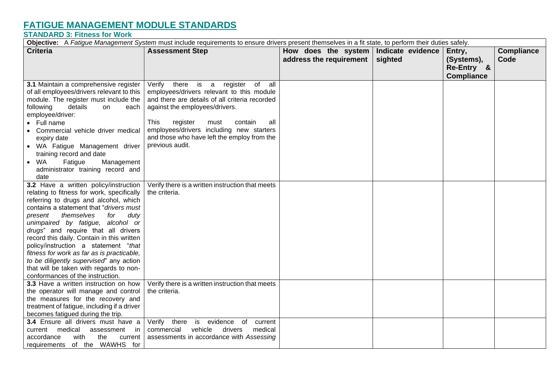### **S STANDARD 3: Fitness for Work**

**Objective:** A *Fatigue Management System* must include requirements to ensure drivers present themselves in a fit state, to perform their duties safely. **Criteria Assessment Step How does the system address the requirement Indicate evidence sighted Entry, (Systems), Re-Entry & Compliance Compliance Code 3.1** Maintain a comprehensive register of all employees/drivers relevant to this module. The register must include the following details on each employee/driver: • Full name • Commercial vehicle driver medical expiry date • WA Fatigue Management driver training record and date • WA Fatigue Management administrator training record and date Verify there is a register of all employees/drivers relevant to this module and there are details of all criteria recorded against the employees/drivers. This register must contain all employees/drivers including new starters and those who have left the employ from the previous audit. **3.2** Have a written policy/instruction relating to fitness for work, specifically referring to drugs and alcohol, which contains a statement that "*drivers must present themselves for duty unimpaired by fatigue, alcohol or drugs*" and require that all drivers record this daily. Contain in this written policy/instruction a statement "*that fitness for work as far as is practicable, to be diligently supervised*" any action that will be taken with regards to nonconformances of the instruction. Verify there is a written instruction that meets the criteria. **3.3** Have a written instruction on how the operator will manage and control the measures for the recovery and treatment of fatigue, including if a driver becomes fatigued during the trip. Verify there is a written instruction that meets the criteria. **3.4** Ensure all drivers must have a current medical assessment in accordance with the current requirements of the WAWHS for Verify there is evidence of current commercial vehicle drivers medical assessments in accordance with *Assessing*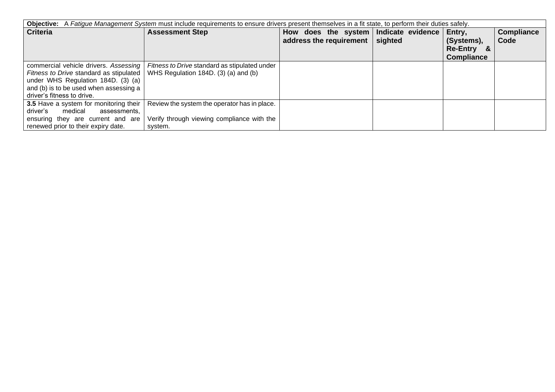| Objective: A Fatigue Management System must include requirements to ensure drivers present themselves in a fit state, to perform their duties safely. |                                               |                                         |  |                                    |                   |  |  |
|-------------------------------------------------------------------------------------------------------------------------------------------------------|-----------------------------------------------|-----------------------------------------|--|------------------------------------|-------------------|--|--|
| <b>Criteria</b>                                                                                                                                       | <b>Assessment Step</b>                        | How does the system   Indicate evidence |  | Entry,                             | <b>Compliance</b> |  |  |
|                                                                                                                                                       |                                               | address the requirement   sighted       |  | (Systems),<br><b>Re-Entry</b><br>& | Code              |  |  |
|                                                                                                                                                       |                                               |                                         |  | <b>Compliance</b>                  |                   |  |  |
| commercial vehicle drivers. Assessing                                                                                                                 | Fitness to Drive standard as stipulated under |                                         |  |                                    |                   |  |  |
| Fitness to Drive standard as stipulated                                                                                                               | WHS Regulation 184D. (3) (a) and (b)          |                                         |  |                                    |                   |  |  |
| under WHS Regulation 184D. (3) (a)                                                                                                                    |                                               |                                         |  |                                    |                   |  |  |
| and (b) is to be used when assessing a                                                                                                                |                                               |                                         |  |                                    |                   |  |  |
| driver's fitness to drive.                                                                                                                            |                                               |                                         |  |                                    |                   |  |  |
| 3.5 Have a system for monitoring their                                                                                                                | Review the system the operator has in place.  |                                         |  |                                    |                   |  |  |
| medical<br>driver's<br>assessments.                                                                                                                   |                                               |                                         |  |                                    |                   |  |  |
| ensuring they are current and are                                                                                                                     | Verify through viewing compliance with the    |                                         |  |                                    |                   |  |  |
| renewed prior to their expiry date.                                                                                                                   | system.                                       |                                         |  |                                    |                   |  |  |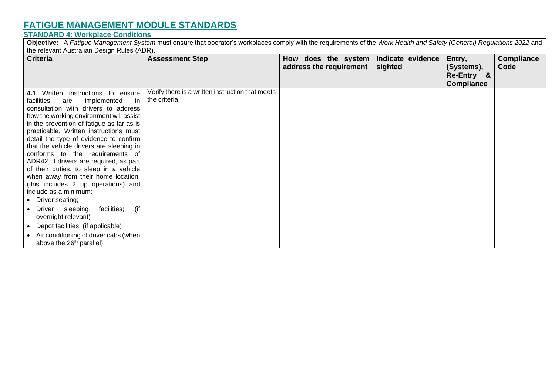### **S STANDARD 4: Workplace Conditions**

**Objective:** A *Fatigue Management System* must ensure that operator's workplaces comply with the requirements of the *Work Health and Safety (General) Regulations 2022* and the relevant Australian Design Rules (ADR).

| Criteria                                                                                                                                                                                                                                                                                                                                                                                                                                                                                                                                                                                                                                                                                                             | <b>Assessment Step</b>                                            | How does the system<br>address the requirement | Indicate evidence<br>sighted | Entry,<br>(Systems),<br>Re-Entry & | <b>Compliance</b><br>Code |
|----------------------------------------------------------------------------------------------------------------------------------------------------------------------------------------------------------------------------------------------------------------------------------------------------------------------------------------------------------------------------------------------------------------------------------------------------------------------------------------------------------------------------------------------------------------------------------------------------------------------------------------------------------------------------------------------------------------------|-------------------------------------------------------------------|------------------------------------------------|------------------------------|------------------------------------|---------------------------|
|                                                                                                                                                                                                                                                                                                                                                                                                                                                                                                                                                                                                                                                                                                                      |                                                                   |                                                |                              | <b>Compliance</b>                  |                           |
| 4.1 Written instructions to ensure<br>implemented<br>facilities<br>are<br>in.<br>consultation with drivers to address<br>how the working environment will assist<br>in the prevention of fatigue as far as is<br>practicable. Written instructions must<br>detail the type of evidence to confirm<br>that the vehicle drivers are sleeping in<br>conforms to the requirements of<br>ADR42, if drivers are required, as part<br>of their duties, to sleep in a vehicle<br>when away from their home location.<br>(this includes 2 up operations) and<br>include as a minimum:<br>Driver seating;<br>(if<br>Driver<br>facilities;<br>sleeping<br>$\bullet$<br>overnight relevant)<br>Depot facilities; (if applicable) | Verify there is a written instruction that meets<br>the criteria. |                                                |                              |                                    |                           |
| Air conditioning of driver cabs (when<br>above the 26 <sup>th</sup> parallel).                                                                                                                                                                                                                                                                                                                                                                                                                                                                                                                                                                                                                                       |                                                                   |                                                |                              |                                    |                           |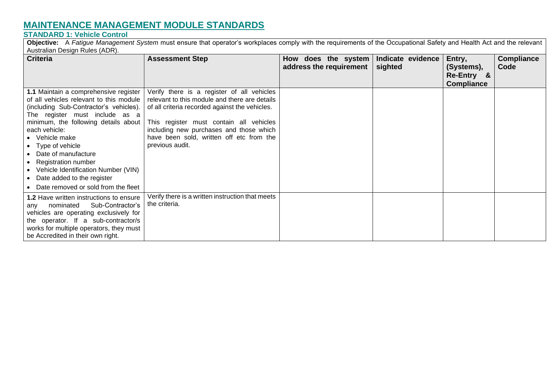## **S STANDARD 1: Vehicle Control**

**Objective:** A *Fatigue Management System* must ensure that operator's workplaces comply with the requirements of the Occupational Safety and Health Act and the relevant Australian Design Rules (ADR).

| $\ldots$<br><b>Criteria</b>                                                                                                                                                                                                                                                                                                                                                                                                                             | <b>Assessment Step</b>                                                                                                                                                                                                                                                                             | How does the system  <br>address the requirement | Indicate evidence<br>sighted | Entry,<br>(Systems),<br>Re-Entry &<br><b>Compliance</b> | <b>Compliance</b><br>Code |
|---------------------------------------------------------------------------------------------------------------------------------------------------------------------------------------------------------------------------------------------------------------------------------------------------------------------------------------------------------------------------------------------------------------------------------------------------------|----------------------------------------------------------------------------------------------------------------------------------------------------------------------------------------------------------------------------------------------------------------------------------------------------|--------------------------------------------------|------------------------------|---------------------------------------------------------|---------------------------|
| 1.1 Maintain a comprehensive register<br>of all vehicles relevant to this module<br>(including Sub-Contractor's vehicles).<br>The register must include as a<br>minimum, the following details about<br>each vehicle:<br>• Vehicle make<br>• Type of vehicle<br>Date of manufacture<br><b>Registration number</b><br>$\bullet$<br>Vehicle Identification Number (VIN)<br>$\bullet$<br>Date added to the register<br>Date removed or sold from the fleet | Verify there is a register of all vehicles<br>relevant to this module and there are details<br>of all criteria recorded against the vehicles.<br>This register must contain all vehicles<br>including new purchases and those which<br>have been sold, written off etc from the<br>previous audit. |                                                  |                              |                                                         |                           |
| 1.2 Have written instructions to ensure<br>Sub-Contractor's<br>nominated<br>any<br>vehicles are operating exclusively for<br>the operator. If a sub-contractor/s<br>works for multiple operators, they must<br>be Accredited in their own right.                                                                                                                                                                                                        | Verify there is a written instruction that meets<br>the criteria.                                                                                                                                                                                                                                  |                                                  |                              |                                                         |                           |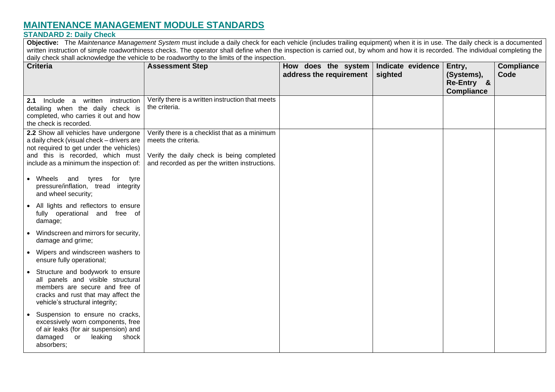## **S STANDARD 2: Daily Check**

**Objective:** The *Maintenance Management System* must include a daily check for each vehicle (includes trailing equipment) when it is in use. The daily check is a documented written instruction of simple roadworthiness checks. The operator shall define when the inspection is carried out, by whom and how it is recorded. The individual completing the daily check shall acknowledge the vehicle to be roadworthy to the limits of the inspection.

| <b>Criteria</b>                                                                                                                                                                                             | <b>Assessment Step</b>                                                                                                                                             | How does the system Indicate evidence<br>address the requirement | sighted | Entry,<br>(Systems),<br>Re-Entry &<br><b>Compliance</b> | <b>Compliance</b><br>Code |
|-------------------------------------------------------------------------------------------------------------------------------------------------------------------------------------------------------------|--------------------------------------------------------------------------------------------------------------------------------------------------------------------|------------------------------------------------------------------|---------|---------------------------------------------------------|---------------------------|
| 2.1 Include a written instruction<br>detailing when the daily check is<br>completed, who carries it out and how<br>the check is recorded.                                                                   | Verify there is a written instruction that meets<br>the criteria.                                                                                                  |                                                                  |         |                                                         |                           |
| 2.2 Show all vehicles have undergone<br>a daily check (visual check - drivers are<br>not required to get under the vehicles)<br>and this is recorded, which must<br>include as a minimum the inspection of: | Verify there is a checklist that as a minimum<br>meets the criteria.<br>Verify the daily check is being completed<br>and recorded as per the written instructions. |                                                                  |         |                                                         |                           |
| Wheels and tyres for tyre<br>$\bullet$<br>pressure/inflation, tread integrity<br>and wheel security;                                                                                                        |                                                                                                                                                                    |                                                                  |         |                                                         |                           |
| All lights and reflectors to ensure<br>$\bullet$<br>fully operational and free of<br>damage;                                                                                                                |                                                                                                                                                                    |                                                                  |         |                                                         |                           |
| Windscreen and mirrors for security,<br>damage and grime;                                                                                                                                                   |                                                                                                                                                                    |                                                                  |         |                                                         |                           |
| Wipers and windscreen washers to<br>$\bullet$<br>ensure fully operational;                                                                                                                                  |                                                                                                                                                                    |                                                                  |         |                                                         |                           |
| Structure and bodywork to ensure<br>all panels and visible structural<br>members are secure and free of<br>cracks and rust that may affect the<br>vehicle's structural integrity;                           |                                                                                                                                                                    |                                                                  |         |                                                         |                           |
| Suspension to ensure no cracks,<br>excessively worn components, free<br>of air leaks (for air suspension) and<br>damaged<br>leaking<br><b>or</b><br>shock<br>absorbers;                                     |                                                                                                                                                                    |                                                                  |         |                                                         |                           |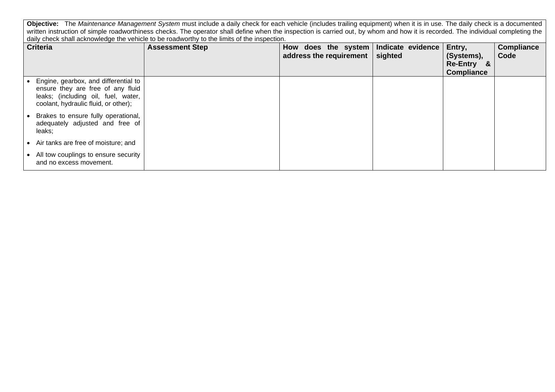**Objective:** The *Maintenance Management System* must include a daily check for each vehicle (includes trailing equipment) when it is in use. The daily check is a documented written instruction of simple roadworthiness checks. The operator shall define when the inspection is carried out, by whom and how it is recorded. The individual completing the daily check shall acknowledge the vehicle to be roadworthy to the limits of the inspection.

| <b>Criteria</b>                                                                                                                                          | <b>Assessment Step</b> | How does the system<br>address the requirement | Indicate evidence<br>sighted | Entry,<br>(Systems),<br><b>Re-Entry</b><br><u>&amp;</u><br><b>Compliance</b> | <b>Compliance</b><br>Code |
|----------------------------------------------------------------------------------------------------------------------------------------------------------|------------------------|------------------------------------------------|------------------------------|------------------------------------------------------------------------------|---------------------------|
| Engine, gearbox, and differential to<br>ensure they are free of any fluid<br>leaks; (including oil, fuel, water,<br>coolant, hydraulic fluid, or other); |                        |                                                |                              |                                                                              |                           |
| Brakes to ensure fully operational,<br>adequately adjusted and free of<br>leaks;                                                                         |                        |                                                |                              |                                                                              |                           |
| • Air tanks are free of moisture; and                                                                                                                    |                        |                                                |                              |                                                                              |                           |
| All tow couplings to ensure security<br>and no excess movement.                                                                                          |                        |                                                |                              |                                                                              |                           |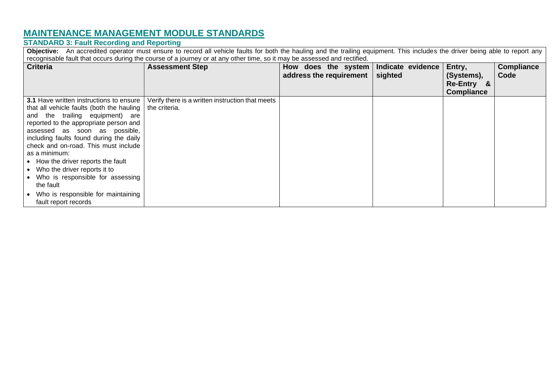## **S STANDARD 3: Fault Recording and Reporting**

Objective: An accredited operator must ensure to record all vehicle faults for both the hauling and the trailing equipment. This includes the driver being able to report any recognisable fault that occurs during the course of a journey or at any other time, so it may be assessed and rectified.

| <b>Criteria</b>                                            | <b>Assessment Step</b>                           | How does the system<br>address the requirement | Indicate evidence<br>sighted | Entry,<br>(Systems),<br>Re-Entry & | <b>Compliance</b><br>Code |
|------------------------------------------------------------|--------------------------------------------------|------------------------------------------------|------------------------------|------------------------------------|---------------------------|
|                                                            |                                                  |                                                |                              | <b>Compliance</b>                  |                           |
| <b>3.1 Have written instructions to ensure</b>             | Verify there is a written instruction that meets |                                                |                              |                                    |                           |
| that all vehicle faults (both the hauling                  | the criteria.                                    |                                                |                              |                                    |                           |
| and the trailing equipment) are                            |                                                  |                                                |                              |                                    |                           |
| reported to the appropriate person and                     |                                                  |                                                |                              |                                    |                           |
| assessed as soon as possible,                              |                                                  |                                                |                              |                                    |                           |
| including faults found during the daily                    |                                                  |                                                |                              |                                    |                           |
| check and on-road. This must include                       |                                                  |                                                |                              |                                    |                           |
| as a minimum:                                              |                                                  |                                                |                              |                                    |                           |
| • How the driver reports the fault                         |                                                  |                                                |                              |                                    |                           |
| • Who the driver reports it to                             |                                                  |                                                |                              |                                    |                           |
| Who is responsible for assessing                           |                                                  |                                                |                              |                                    |                           |
| the fault                                                  |                                                  |                                                |                              |                                    |                           |
| Who is responsible for maintaining<br>fault report records |                                                  |                                                |                              |                                    |                           |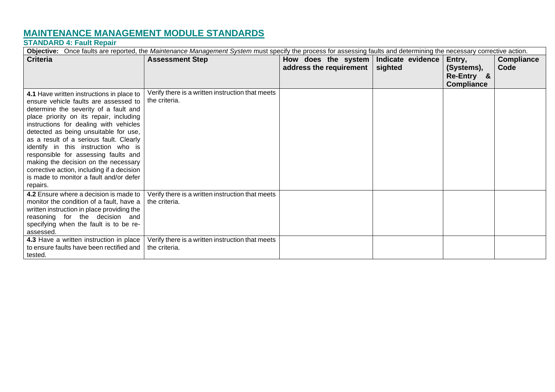### **S STANDARD 4: Fault Repair**

|                                                                                                                                                                                                                                                                                                                                                                                                                                                                                                                                  | Objective: Once faults are reported, the Maintenance Management System must specify the process for assessing faults and determining the necessary corrective action. |                                                |                              |                                                         |                           |  |
|----------------------------------------------------------------------------------------------------------------------------------------------------------------------------------------------------------------------------------------------------------------------------------------------------------------------------------------------------------------------------------------------------------------------------------------------------------------------------------------------------------------------------------|-----------------------------------------------------------------------------------------------------------------------------------------------------------------------|------------------------------------------------|------------------------------|---------------------------------------------------------|---------------------------|--|
| <b>Criteria</b>                                                                                                                                                                                                                                                                                                                                                                                                                                                                                                                  | <b>Assessment Step</b>                                                                                                                                                | How does the system<br>address the requirement | Indicate evidence<br>sighted | Entry,<br>(Systems),<br>Re-Entry &<br><b>Compliance</b> | <b>Compliance</b><br>Code |  |
| 4.1 Have written instructions in place to<br>ensure vehicle faults are assessed to<br>determine the severity of a fault and<br>place priority on its repair, including<br>instructions for dealing with vehicles<br>detected as being unsuitable for use,<br>as a result of a serious fault. Clearly<br>identify in this instruction who is<br>responsible for assessing faults and<br>making the decision on the necessary<br>corrective action, including if a decision<br>is made to monitor a fault and/or defer<br>repairs. | Verify there is a written instruction that meets<br>the criteria.                                                                                                     |                                                |                              |                                                         |                           |  |
| 4.2 Ensure where a decision is made to<br>monitor the condition of a fault, have a<br>written instruction in place providing the<br>reasoning for the decision and<br>specifying when the fault is to be re-<br>assessed.<br>4.3 Have a written instruction in place                                                                                                                                                                                                                                                             | Verify there is a written instruction that meets<br>the criteria.<br>Verify there is a written instruction that meets                                                 |                                                |                              |                                                         |                           |  |
| to ensure faults have been rectified and<br>tested.                                                                                                                                                                                                                                                                                                                                                                                                                                                                              | the criteria.                                                                                                                                                         |                                                |                              |                                                         |                           |  |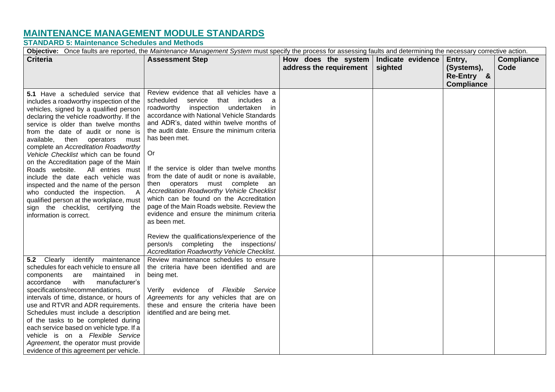#### **S STANDARD 5: Maintenance Schedules and Methods**

| Objective: Once faults are reported, the Maintenance Management System must specify the process for assessing faults and determining the necessary corrective action.                                                                                                                                                                                                                                                                                                                                                                                                                                                                                                                    |                                                                                                                                                                                                                                                                                                                                                                                                                                                                                                                                                                                                                                                                                           |                                                                  |         |                                                         |                           |
|------------------------------------------------------------------------------------------------------------------------------------------------------------------------------------------------------------------------------------------------------------------------------------------------------------------------------------------------------------------------------------------------------------------------------------------------------------------------------------------------------------------------------------------------------------------------------------------------------------------------------------------------------------------------------------------|-------------------------------------------------------------------------------------------------------------------------------------------------------------------------------------------------------------------------------------------------------------------------------------------------------------------------------------------------------------------------------------------------------------------------------------------------------------------------------------------------------------------------------------------------------------------------------------------------------------------------------------------------------------------------------------------|------------------------------------------------------------------|---------|---------------------------------------------------------|---------------------------|
| <b>Criteria</b>                                                                                                                                                                                                                                                                                                                                                                                                                                                                                                                                                                                                                                                                          | <b>Assessment Step</b>                                                                                                                                                                                                                                                                                                                                                                                                                                                                                                                                                                                                                                                                    | How does the system Indicate evidence<br>address the requirement | sighted | Entry,<br>(Systems),<br>Re-Entry &<br><b>Compliance</b> | <b>Compliance</b><br>Code |
| 5.1 Have a scheduled service that<br>includes a roadworthy inspection of the<br>vehicles, signed by a qualified person<br>declaring the vehicle roadworthy. If the<br>service is older than twelve months<br>from the date of audit or none is<br>available, then operators must<br>complete an Accreditation Roadworthy<br>Vehicle Checklist which can be found<br>on the Accreditation page of the Main<br>All entries must<br>Roads website.<br>include the date each vehicle was<br>inspected and the name of the person<br>who conducted the inspection.<br><b>A</b><br>qualified person at the workplace, must<br>sign the checklist, certifying<br>the<br>information is correct. | Review evidence that all vehicles have a<br>scheduled<br>service<br>that includes<br>- a<br>roadworthy inspection undertaken<br>in.<br>accordance with National Vehicle Standards<br>and ADR's, dated within twelve months of<br>the audit date. Ensure the minimum criteria<br>has been met.<br>Or<br>If the service is older than twelve months<br>from the date of audit or none is available,<br>then operators must complete<br>an<br>Accreditation Roadworthy Vehicle Checklist<br>which can be found on the Accreditation<br>page of the Main Roads website. Review the<br>evidence and ensure the minimum criteria<br>as been met.<br>Review the qualifications/experience of the |                                                                  |         |                                                         |                           |
|                                                                                                                                                                                                                                                                                                                                                                                                                                                                                                                                                                                                                                                                                          | person/s completing the inspections/<br>Accreditation Roadworthy Vehicle Checklist.                                                                                                                                                                                                                                                                                                                                                                                                                                                                                                                                                                                                       |                                                                  |         |                                                         |                           |
| 5.2 Clearly identify maintenance<br>schedules for each vehicle to ensure all<br>components<br>are<br>maintained<br>in.<br>accordance<br>with<br>manufacturer's<br>specifications/recommendations,<br>intervals of time, distance, or hours of<br>use and RTVR and ADR requirements.<br>Schedules must include a description<br>of the tasks to be completed during<br>each service based on vehicle type. If a<br>vehicle is on a Flexible Service<br>Agreement, the operator must provide<br>evidence of this agreement per vehicle.                                                                                                                                                    | Review maintenance schedules to ensure<br>the criteria have been identified and are<br>being met.<br>Verify evidence of Flexible Service<br>Agreements for any vehicles that are on<br>these and ensure the criteria have been<br>identified and are being met.                                                                                                                                                                                                                                                                                                                                                                                                                           |                                                                  |         |                                                         |                           |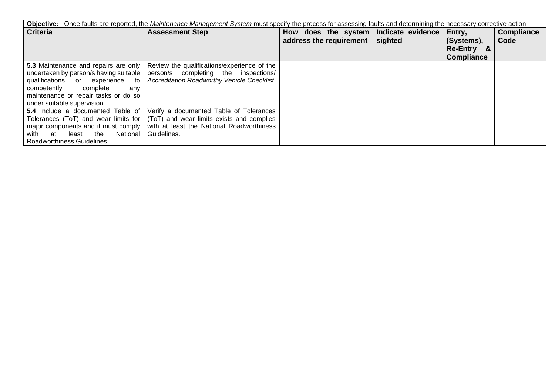| Objective: Once faults are reported, the Maintenance Management System must specify the process for assessing faults and determining the necessary corrective action.                                                           |                                                                                                                                                  |                                         |         |                                 |                   |  |
|---------------------------------------------------------------------------------------------------------------------------------------------------------------------------------------------------------------------------------|--------------------------------------------------------------------------------------------------------------------------------------------------|-----------------------------------------|---------|---------------------------------|-------------------|--|
| <b>Criteria</b>                                                                                                                                                                                                                 | <b>Assessment Step</b>                                                                                                                           | How does the system   Indicate evidence |         | Entry,                          | <b>Compliance</b> |  |
|                                                                                                                                                                                                                                 |                                                                                                                                                  | address the requirement                 | sighted | (Systems),                      | Code              |  |
|                                                                                                                                                                                                                                 |                                                                                                                                                  |                                         |         | Re-Entry &<br><b>Compliance</b> |                   |  |
| 5.3 Maintenance and repairs are only<br>undertaken by person/s having suitable  <br>qualifications or experience<br>to<br>competently<br>complete<br>anv<br>maintenance or repair tasks or do so<br>under suitable supervision. | Review the qualifications/experience of the<br>person/s completing the inspections/<br><b>Accreditation Roadworthy Vehicle Checklist.</b>        |                                         |         |                                 |                   |  |
| 5.4 Include a documented Table of<br>Tolerances (ToT) and wear limits for  <br>major components and it must comply<br>National<br>the<br>with<br>least<br>at<br>Roadworthiness Guidelines                                       | Verify a documented Table of Tolerances<br>(ToT) and wear limits exists and complies<br>with at least the National Roadworthiness<br>Guidelines. |                                         |         |                                 |                   |  |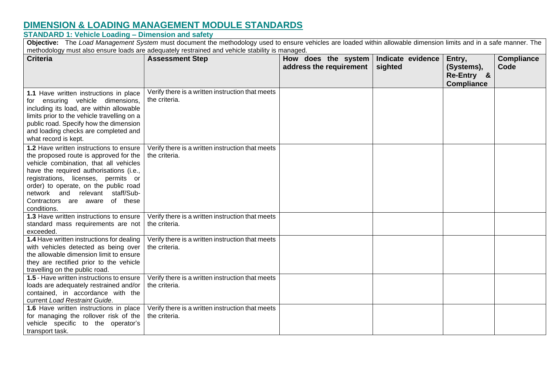## **DIMENSION & LOADING MANAGEMENT MODULE STANDARDS**

**S STANDARD 1: Vehicle Loading – Dimension and safety**

**Objective:** The *Load Management System* must document the methodology used to ensure vehicles are loaded within allowable dimension limits and in a safe manner. The methodology must also ensure loads are adequately restrained and vehicle stability is managed.

| <b>Criteria</b>                                                                                                                                                                                                                                                                                                                            | monodology maor aloo onodro loddo dro ddoqdaroly roomalitod dha romolo olddilliy io managodi<br><b>Assessment Step</b> | How does the system  <br>address the requirement | Indicate evidence<br>sighted | Entry,<br>(Systems),<br>Re-Entry &<br><b>Compliance</b> | <b>Compliance</b><br>Code |
|--------------------------------------------------------------------------------------------------------------------------------------------------------------------------------------------------------------------------------------------------------------------------------------------------------------------------------------------|------------------------------------------------------------------------------------------------------------------------|--------------------------------------------------|------------------------------|---------------------------------------------------------|---------------------------|
| 1.1 Have written instructions in place<br>for ensuring vehicle dimensions,<br>including its load, are within allowable<br>limits prior to the vehicle travelling on a<br>public road. Specify how the dimension<br>and loading checks are completed and<br>what record is kept.                                                            | Verify there is a written instruction that meets<br>the criteria.                                                      |                                                  |                              |                                                         |                           |
| 1.2 Have written instructions to ensure<br>the proposed route is approved for the<br>vehicle combination, that all vehicles<br>have the required authorisations (i.e.,<br>registrations, licenses, permits or<br>order) to operate, on the public road<br>network and relevant staff/Sub-<br>Contractors are aware of these<br>conditions. | Verify there is a written instruction that meets<br>the criteria.                                                      |                                                  |                              |                                                         |                           |
| 1.3 Have written instructions to ensure<br>standard mass requirements are not<br>exceeded.                                                                                                                                                                                                                                                 | Verify there is a written instruction that meets<br>the criteria.                                                      |                                                  |                              |                                                         |                           |
| 1.4 Have written instructions for dealing<br>with vehicles detected as being over<br>the allowable dimension limit to ensure<br>they are rectified prior to the vehicle<br>travelling on the public road.                                                                                                                                  | Verify there is a written instruction that meets<br>the criteria.                                                      |                                                  |                              |                                                         |                           |
| 1.5 - Have written instructions to ensure<br>loads are adequately restrained and/or<br>contained, in accordance with the<br>current Load Restraint Guide.                                                                                                                                                                                  | Verify there is a written instruction that meets<br>the criteria.                                                      |                                                  |                              |                                                         |                           |
| 1.6 Have written instructions in place<br>for managing the rollover risk of the<br>vehicle specific to the operator's<br>transport task.                                                                                                                                                                                                   | Verify there is a written instruction that meets<br>the criteria.                                                      |                                                  |                              |                                                         |                           |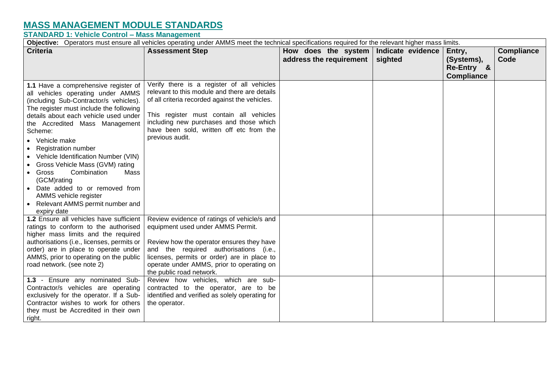## **MASS MANAGEMENT MODULE STANDARDS**

#### **S STANDARD 1: Vehicle Control – Mass Management**

**Objective:** Operators must ensure all vehicles operating under AMMS meet the technical specifications required for the relevant higher mass limits.

| <b>Oxformer</b> Operatore made chodic all remoted operating ander rimmo mode the toomhodi operations required for the relevant inghor made immo.<br><b>Criteria</b>                                                                                                                                                                                                                                                                                                                                                                                  | <b>Assessment Step</b>                                                                                                                                                                                                                                                                                                                                                                                                                              | How does the system<br>address the requirement | Indicate evidence<br>sighted | Entry,<br>(Systems),<br>Re-Entry &<br><b>Compliance</b> | <b>Compliance</b><br>Code |
|------------------------------------------------------------------------------------------------------------------------------------------------------------------------------------------------------------------------------------------------------------------------------------------------------------------------------------------------------------------------------------------------------------------------------------------------------------------------------------------------------------------------------------------------------|-----------------------------------------------------------------------------------------------------------------------------------------------------------------------------------------------------------------------------------------------------------------------------------------------------------------------------------------------------------------------------------------------------------------------------------------------------|------------------------------------------------|------------------------------|---------------------------------------------------------|---------------------------|
| 1.1 Have a comprehensive register of<br>all vehicles operating under AMMS<br>(including Sub-Contractor/s vehicles).<br>The register must include the following<br>details about each vehicle used under<br>the Accredited Mass Management<br>Scheme:<br>Vehicle make<br><b>Registration number</b><br>Vehicle Identification Number (VIN)<br>Gross Vehicle Mass (GVM) rating<br>Combination<br>Gross<br>Mass<br>$\bullet$<br>(GCM)rating<br>Date added to or removed from<br>AMMS vehicle register<br>Relevant AMMS permit number and<br>expiry date | Verify there is a register of all vehicles<br>relevant to this module and there are details<br>of all criteria recorded against the vehicles.<br>This register must contain all vehicles<br>including new purchases and those which<br>have been sold, written off etc from the<br>previous audit.                                                                                                                                                  |                                                |                              |                                                         |                           |
| 1.2 Ensure all vehicles have sufficient<br>ratings to conform to the authorised<br>higher mass limits and the required<br>authorisations (i.e., licenses, permits or<br>order) are in place to operate under<br>AMMS, prior to operating on the public<br>road network. (see note 2)<br>1.3 - Ensure any nominated Sub-<br>Contractor/s vehicles are operating<br>exclusively for the operator. If a Sub-<br>Contractor wishes to work for others<br>they must be Accredited in their own<br>right.                                                  | Review evidence of ratings of vehicle/s and<br>equipment used under AMMS Permit.<br>Review how the operator ensures they have<br>and the required authorisations (i.e.,<br>licenses, permits or order) are in place to<br>operate under AMMS, prior to operating on<br>the public road network.<br>Review how vehicles, which are sub-<br>contracted to the operator, are to be<br>identified and verified as solely operating for<br>the operator. |                                                |                              |                                                         |                           |